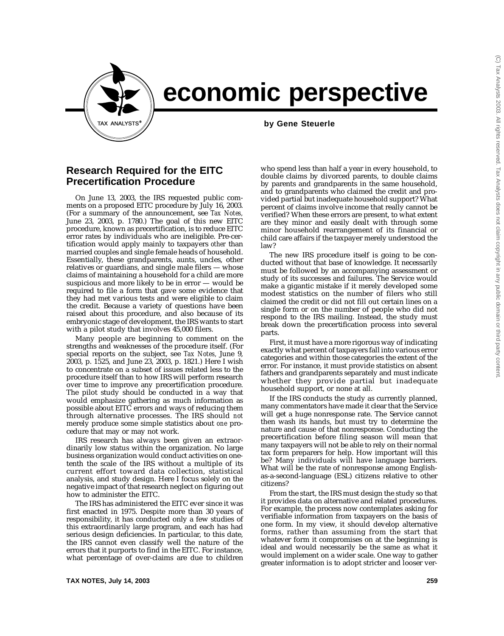

## **economic perspective**

**by Gene Steuerle** 

## **Research Required for the EITC Precertification Procedure**

On June 13, 2003, the IRS requested public comments on a proposed EITC procedure by July 16, 2003. (For a summary of the announcement, see *Tax Notes,* June 23, 2003, p. 1780.) The goal of this new EITC procedure, known as precertification, is to reduce EITC error rates by individuals who are ineligible. Pre-certification would apply mainly to taxpayers *other* than married couples and single female heads of household. Essentially, these grandparents, aunts, uncles, other relatives or guardians, and single male filers — whose claims of maintaining a household for a child are more suspicious and more likely to be in error — would be required to file a form that gave some evidence that they had met various tests and were eligible to claim the credit. Because a variety of questions have been raised about this procedure, and also because of its embryonic stage of development, the IRS wants to start with a pilot study that involves 45,000 filers.

Many people are beginning to comment on the strengths and weaknesses of the procedure itself. (For special reports on the subject, see *Tax Notes,* June 9, 2003, p. 1525, and June 23, 2003, p. 1821.) Here I wish to concentrate on a subset of issues related less to the procedure itself than to how IRS will perform research over time to improve any precertification procedure. The pilot study should be conducted in a way that would emphasize gathering as much information as possible about EITC errors and ways of reducing them through alternative processes. The IRS should *not* merely produce some simple statistics about *one* procedure that may or may not work.

IRS research has always been given an extraordinarily low status within the organization. No large business organization would conduct activities on onetenth the scale of the IRS without a multiple of its current effort toward data collection, statistical analysis, and study design. Here I focus solely on the negative impact of that research neglect on figuring out how to administer the EITC.

The IRS has administered the EITC ever since it was first enacted in 1975. Despite more than 30 years of responsibility, it has conducted only a few studies of this extraordinarily large program, and each has had serious design deficiencies. In particular, to this date, the IRS cannot even classify well the nature of the errors that it purports to find in the EITC. For instance, what percentage of over-claims are due to children who spend less than half a year in every household, to double claims by divorced parents, to double claims by parents and grandparents in the same household, and to grandparents who claimed the credit and provided partial but inadequate household support? What percent of claims involve income that really cannot be verified? When these errors are present, to what extent are they minor and easily dealt with through some minor household rearrangement of its financial or child care affairs if the taxpayer merely understood the law?

The new IRS procedure itself is going to be conducted without that base of knowledge. It necessarily must be followed by an accompanying assessment or study of its successes and failures. The Service would make a gigantic mistake if it merely developed some modest statistics on the number of filers who still claimed the credit or did not fill out certain lines on a single form or on the number of people who did not respond to the IRS mailing. Instead, the study must break down the precertification process into several parts.

First, it must have a more rigorous way of indicating exactly what percent of taxpayers fall into various error categories and within those categories the extent of the error. For instance, it must provide statistics on absent fathers and grandparents separately and must indicate whether they provide partial but inadequate household support, or none at all.

If the IRS conducts the study as currently planned, many commentators have made it clear that the Service will get a huge nonresponse rate. The Service cannot then wash its hands, but must try to determine the nature and cause of that nonresponse. Conducting the precertification before filing season will mean that many taxpayers will not be able to rely on their normal tax form preparers for help. How important will this be? Many individuals will have language barriers. What will be the rate of nonresponse among Englishas-a-second-language (ESL) citizens relative to other citizens?

From the start, the IRS must design the study so that it provides data on alternative and related procedures. For example, the process now contemplates asking for verifiable information from taxpayers on the basis of one form. In my view, it should develop alternative forms, rather than assuming from the start that whatever form it compromises on at the beginning is ideal and would necessarily be the same as what it would implement on a wider scale. One way to gather greater information is to adopt stricter and looser ver-